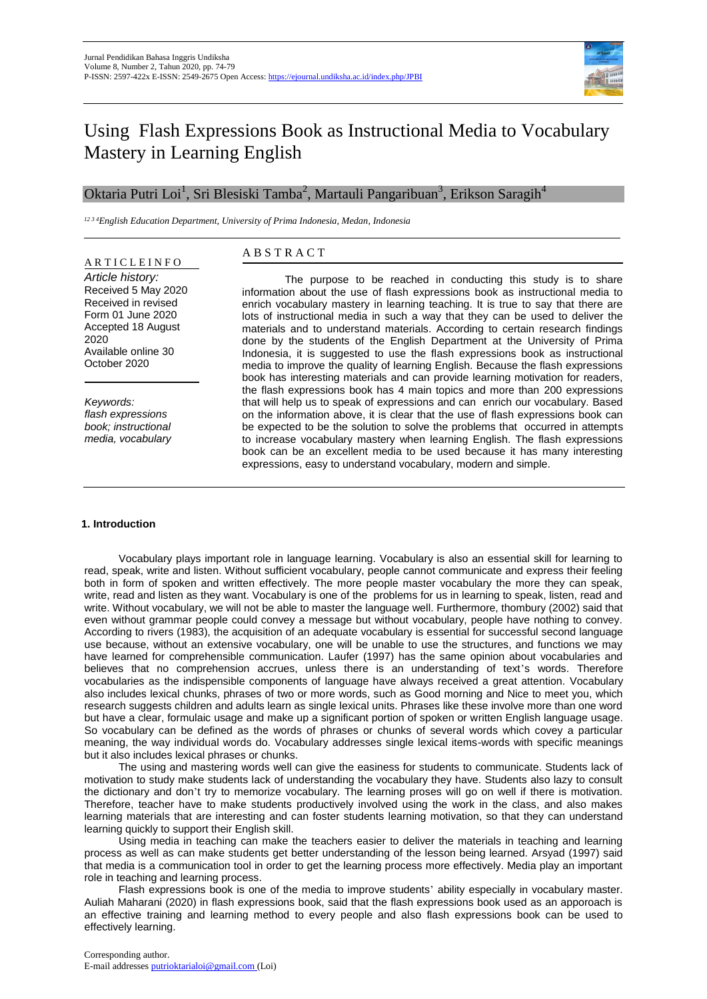

# Using Flash Expressions Book as Instructional Media to Vocabulary Mastery in Learning English

# Oktaria Putri Loi<sup>1</sup>, Sri Blesiski Tamba<sup>2</sup>, Martauli Pangaribuan<sup>3</sup>, Erikson Saragih<sup>4</sup>

*12 3 4English Education Department, University of Prima Indonesia, Medan, Indonesia*

# A R T I C L E I N F O

*Article history:*  Received 5 May 2020 Received in revised Form 01 June 2020 Accepted 18 August 2020 Available online 30 October 2020

*Keywords: flash expressions book; instructional media, vocabulary*

# A B S T R A C T

The purpose to be reached in conducting this study is to share information about the use of flash expressions book as instructional media to enrich vocabulary mastery in learning teaching. It is true to say that there are lots of instructional media in such a way that they can be used to deliver the materials and to understand materials. According to certain research findings done by the students of the English Department at the University of Prima Indonesia, it is suggested to use the flash expressions book as instructional media to improve the quality of learning English. Because the flash expressions book has interesting materials and can provide learning motivation for readers, the flash expressions book has 4 main topics and more than 200 expressions that will help us to speak of expressions and can enrich our vocabulary. Based on the information above, it is clear that the use of flash expressions book can be expected to be the solution to solve the problems that occurred in attempts to increase vocabulary mastery when learning English. The flash expressions book can be an excellent media to be used because it has many interesting expressions, easy to understand vocabulary, modern and simple.

### **1. Introduction**

Vocabulary plays important role in language learning. Vocabulary is also an essential skill for learning to read, speak, write and listen. Without sufficient vocabulary, people cannot communicate and express their feeling both in form of spoken and written effectively. The more people master vocabulary the more they can speak, write, read and listen as they want. Vocabulary is one of the problems for us in learning to speak, listen, read and write. Without vocabulary, we will not be able to master the language well. Furthermore, thombury (2002) said that even without grammar people could convey a message but without vocabulary, people have nothing to convey. According to rivers (1983), the acquisition of an adequate vocabulary is essential for successful second language use because, without an extensive vocabulary, one will be unable to use the structures, and functions we may have learned for comprehensible communication. Laufer (1997) has the same opinion about vocabularies and believes that no comprehension accrues, unless there is an understanding of text's words. Therefore vocabularies as the indispensible components of language have always received a great attention. Vocabulary also includes lexical chunks, phrases of two or more words, such as Good morning and Nice to meet you, which research suggests children and adults learn as single lexical units. Phrases like these involve more than one word but have a clear, formulaic usage and make up a significant portion of spoken or written English language usage. So vocabulary can be defined as the words of phrases or chunks of several words which covey a particular meaning, the way individual words do. Vocabulary addresses single lexical items-words with specific meanings but it also includes lexical phrases or chunks.

The using and mastering words well can give the easiness for students to communicate. Students lack of motivation to study make students lack of understanding the vocabulary they have. Students also lazy to consult the dictionary and don't try to memorize vocabulary. The learning proses will go on well if there is motivation. Therefore, teacher have to make students productively involved using the work in the class, and also makes learning materials that are interesting and can foster students learning motivation, so that they can understand learning quickly to support their English skill.

Using media in teaching can make the teachers easier to deliver the materials in teaching and learning process as well as can make students get better understanding of the lesson being learned. Arsyad (1997) said that media is a communication tool in order to get the learning process more effectively. Media play an important role in teaching and learning process.

Flash expressions book is one of the media to improve students' ability especially in vocabulary master. Auliah Maharani (2020) in flash expressions book, said that the flash expressions book used as an apporoach is an effective training and learning method to every people and also flash expressions book can be used to effectively learning.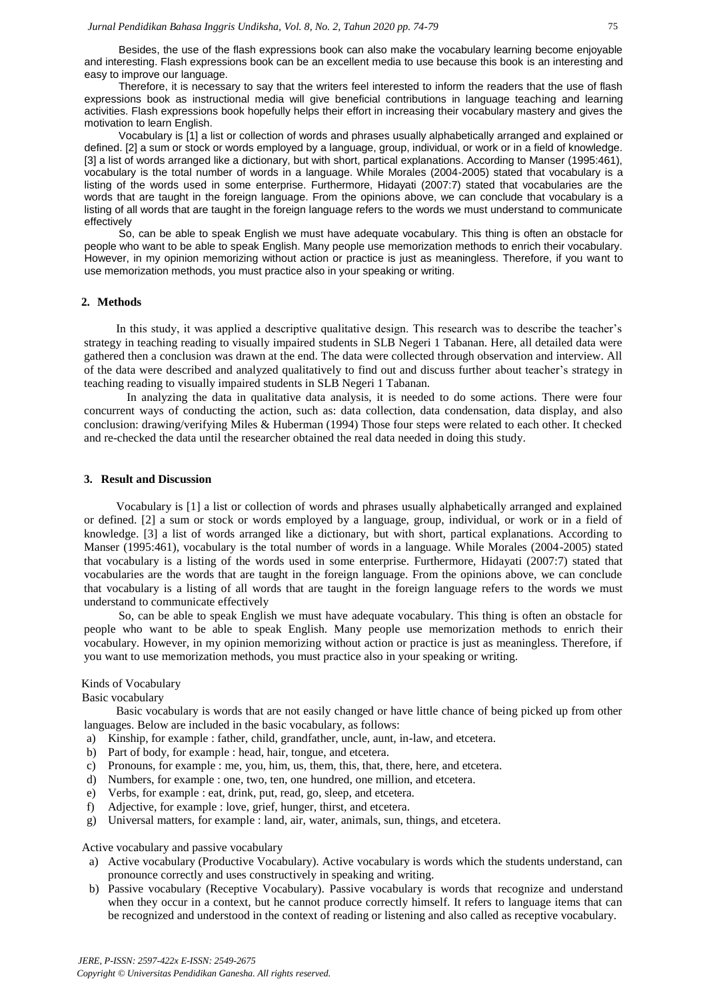Besides, the use of the flash expressions book can also make the vocabulary learning become enjoyable and interesting. Flash expressions book can be an excellent media to use because this book is an interesting and easy to improve our language.

Therefore, it is necessary to say that the writers feel interested to inform the readers that the use of flash expressions book as instructional media will give beneficial contributions in language teaching and learning activities. Flash expressions book hopefully helps their effort in increasing their vocabulary mastery and gives the motivation to learn English.

Vocabulary is [1] a list or collection of words and phrases usually alphabetically arranged and explained or defined. [2] a sum or stock or words employed by a language, group, individual, or work or in a field of knowledge. [3] a list of words arranged like a dictionary, but with short, partical explanations. According to Manser (1995:461), vocabulary is the total number of words in a language. While Morales (2004-2005) stated that vocabulary is a listing of the words used in some enterprise. Furthermore, Hidayati (2007:7) stated that vocabularies are the words that are taught in the foreign language. From the opinions above, we can conclude that vocabulary is a listing of all words that are taught in the foreign language refers to the words we must understand to communicate effectively

So, can be able to speak English we must have adequate vocabulary. This thing is often an obstacle for people who want to be able to speak English. Many people use memorization methods to enrich their vocabulary. However, in my opinion memorizing without action or practice is just as meaningless. Therefore, if you want to use memorization methods, you must practice also in your speaking or writing.

### **2. Methods**

In this study, it was applied a descriptive qualitative design. This research was to describe the teacher's strategy in teaching reading to visually impaired students in SLB Negeri 1 Tabanan. Here, all detailed data were gathered then a conclusion was drawn at the end. The data were collected through observation and interview. All of the data were described and analyzed qualitatively to find out and discuss further about teacher's strategy in teaching reading to visually impaired students in SLB Negeri 1 Tabanan.

In analyzing the data in qualitative data analysis, it is needed to do some actions. There were four concurrent ways of conducting the action, such as: data collection, data condensation, data display, and also conclusion: drawing/verifying Miles & Huberman (1994) Those four steps were related to each other. It checked and re-checked the data until the researcher obtained the real data needed in doing this study.

### **3. Result and Discussion**

Vocabulary is [1] a list or collection of words and phrases usually alphabetically arranged and explained or defined. [2] a sum or stock or words employed by a language, group, individual, or work or in a field of knowledge. [3] a list of words arranged like a dictionary, but with short, partical explanations. According to Manser (1995:461), vocabulary is the total number of words in a language. While Morales (2004-2005) stated that vocabulary is a listing of the words used in some enterprise. Furthermore, Hidayati (2007:7) stated that vocabularies are the words that are taught in the foreign language. From the opinions above, we can conclude that vocabulary is a listing of all words that are taught in the foreign language refers to the words we must understand to communicate effectively

So, can be able to speak English we must have adequate vocabulary. This thing is often an obstacle for people who want to be able to speak English. Many people use memorization methods to enrich their vocabulary. However, in my opinion memorizing without action or practice is just as meaningless. Therefore, if you want to use memorization methods, you must practice also in your speaking or writing.

#### Kinds of Vocabulary

Basic vocabulary

Basic vocabulary is words that are not easily changed or have little chance of being picked up from other languages. Below are included in the basic vocabulary, as follows:

- a) Kinship, for example : father, child, grandfather, uncle, aunt, in-law, and etcetera.
- b) Part of body, for example : head, hair, tongue, and etcetera.
- c) Pronouns, for example : me, you, him, us, them, this, that, there, here, and etcetera.
- d) Numbers, for example : one, two, ten, one hundred, one million, and etcetera.
- e) Verbs, for example : eat, drink, put, read, go, sleep, and etcetera.
- f) Adjective, for example : love, grief, hunger, thirst, and etcetera.
- g) Universal matters, for example : land, air, water, animals, sun, things, and etcetera.

Active vocabulary and passive vocabulary

- a) Active vocabulary (Productive Vocabulary). Active vocabulary is words which the students understand, can pronounce correctly and uses constructively in speaking and writing.
- b) Passive vocabulary (Receptive Vocabulary). Passive vocabulary is words that recognize and understand when they occur in a context, but he cannot produce correctly himself. It refers to language items that can be recognized and understood in the context of reading or listening and also called as receptive vocabulary.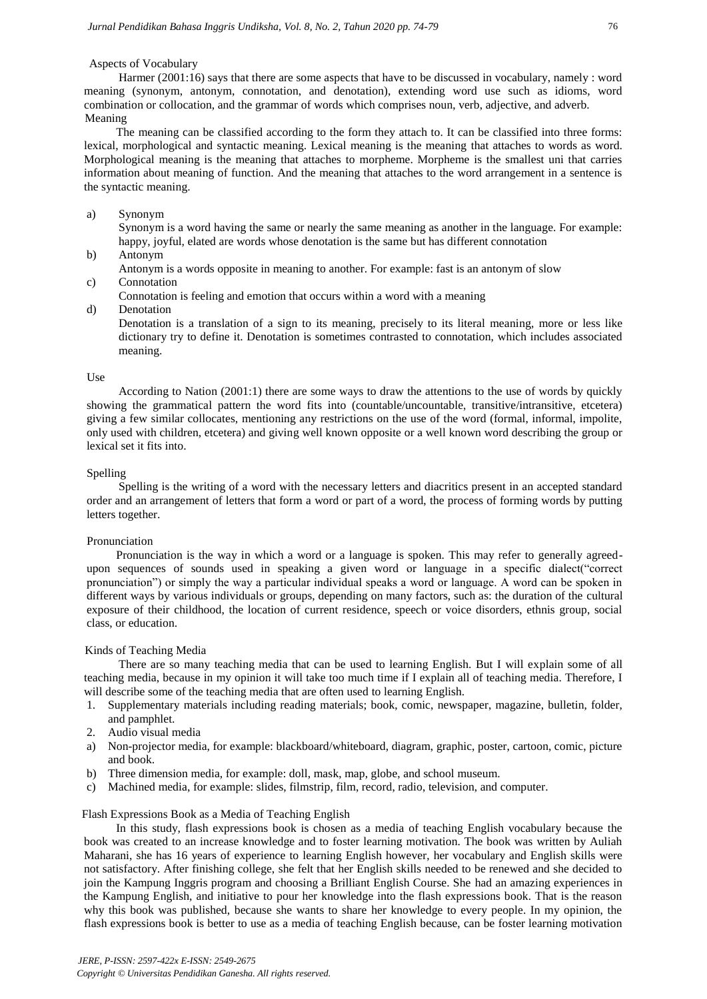# Aspects of Vocabulary

Harmer (2001:16) says that there are some aspects that have to be discussed in vocabulary, namely : word meaning (synonym, antonym, connotation, and denotation), extending word use such as idioms, word combination or collocation, and the grammar of words which comprises noun, verb, adjective, and adverb. Meaning

The meaning can be classified according to the form they attach to. It can be classified into three forms: lexical, morphological and syntactic meaning. Lexical meaning is the meaning that attaches to words as word. Morphological meaning is the meaning that attaches to morpheme. Morpheme is the smallest uni that carries information about meaning of function. And the meaning that attaches to the word arrangement in a sentence is the syntactic meaning.

## a) Synonym

Synonym is a word having the same or nearly the same meaning as another in the language. For example: happy, joyful, elated are words whose denotation is the same but has different connotation

- b) Antonym
- Antonym is a words opposite in meaning to another. For example: fast is an antonym of slow

# c) Connotation

- Connotation is feeling and emotion that occurs within a word with a meaning
- d) Denotation

Denotation is a translation of a sign to its meaning, precisely to its literal meaning, more or less like dictionary try to define it. Denotation is sometimes contrasted to connotation, which includes associated meaning.

### Use

According to Nation (2001:1) there are some ways to draw the attentions to the use of words by quickly showing the grammatical pattern the word fits into (countable/uncountable, transitive/intransitive, etcetera) giving a few similar collocates, mentioning any restrictions on the use of the word (formal, informal, impolite, only used with children, etcetera) and giving well known opposite or a well known word describing the group or lexical set it fits into.

### Spelling

Spelling is the writing of a word with the necessary letters and diacritics present in an accepted standard order and an arrangement of letters that form a word or part of a word, the process of forming words by putting letters together.

### Pronunciation

Pronunciation is the way in which a word or a language is spoken. This may refer to generally agreedupon sequences of sounds used in speaking a given word or language in a specific dialect("correct pronunciation") or simply the way a particular individual speaks a word or language. A word can be spoken in different ways by various individuals or groups, depending on many factors, such as: the duration of the cultural exposure of their childhood, the location of current residence, speech or voice disorders, ethnis group, social class, or education.

### Kinds of Teaching Media

There are so many teaching media that can be used to learning English. But I will explain some of all teaching media, because in my opinion it will take too much time if I explain all of teaching media. Therefore, I will describe some of the teaching media that are often used to learning English.

- 1. Supplementary materials including reading materials; book, comic, newspaper, magazine, bulletin, folder, and pamphlet.
- 2. Audio visual media
- a) Non-projector media, for example: blackboard/whiteboard, diagram, graphic, poster, cartoon, comic, picture and book.
- b) Three dimension media, for example: doll, mask, map, globe, and school museum.
- c) Machined media, for example: slides, filmstrip, film, record, radio, television, and computer.

# Flash Expressions Book as a Media of Teaching English

In this study, flash expressions book is chosen as a media of teaching English vocabulary because the book was created to an increase knowledge and to foster learning motivation. The book was written by Auliah Maharani, she has 16 years of experience to learning English however, her vocabulary and English skills were not satisfactory. After finishing college, she felt that her English skills needed to be renewed and she decided to join the Kampung Inggris program and choosing a Brilliant English Course. She had an amazing experiences in the Kampung English, and initiative to pour her knowledge into the flash expressions book. That is the reason why this book was published, because she wants to share her knowledge to every people. In my opinion, the flash expressions book is better to use as a media of teaching English because, can be foster learning motivation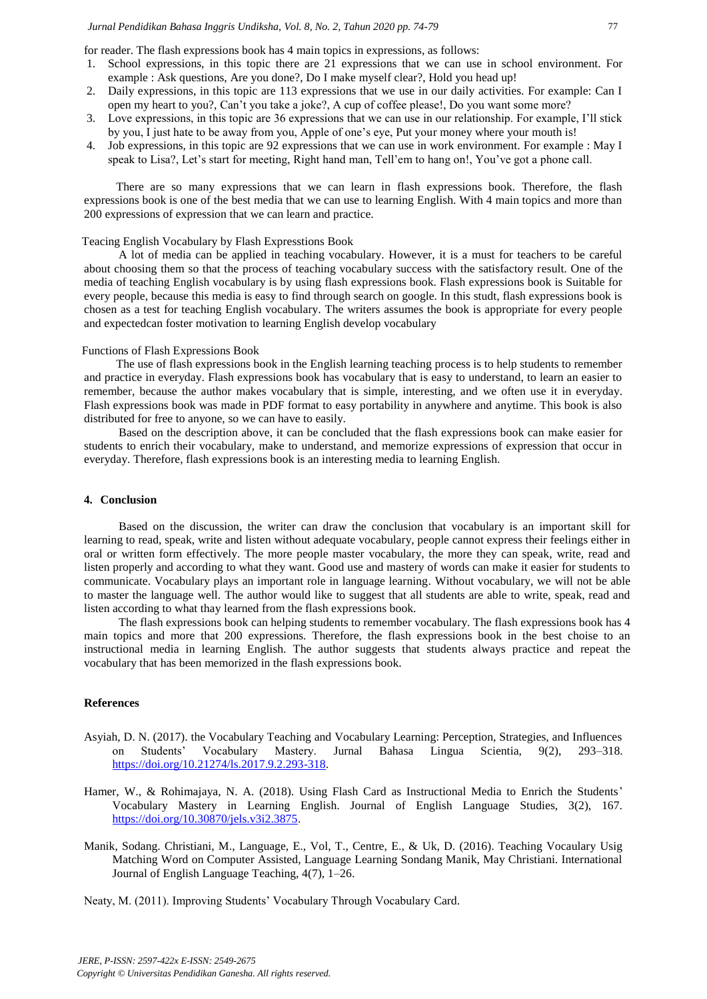for reader. The flash expressions book has 4 main topics in expressions, as follows:

- 1. School expressions, in this topic there are 21 expressions that we can use in school environment. For example : Ask questions, Are you done?, Do I make myself clear?, Hold you head up!
- 2. Daily expressions, in this topic are 113 expressions that we use in our daily activities. For example: Can I open my heart to you?, Can't you take a joke?, A cup of coffee please!, Do you want some more?
- 3. Love expressions, in this topic are 36 expressions that we can use in our relationship. For example, I'll stick by you, I just hate to be away from you, Apple of one's eye, Put your money where your mouth is!
- 4. Job expressions, in this topic are 92 expressions that we can use in work environment. For example : May I speak to Lisa?, Let's start for meeting, Right hand man, Tell'em to hang on!, You've got a phone call.

There are so many expressions that we can learn in flash expressions book. Therefore, the flash expressions book is one of the best media that we can use to learning English. With 4 main topics and more than 200 expressions of expression that we can learn and practice.

# Teacing English Vocabulary by Flash Expresstions Book

A lot of media can be applied in teaching vocabulary. However, it is a must for teachers to be careful about choosing them so that the process of teaching vocabulary success with the satisfactory result. One of the media of teaching English vocabulary is by using flash expressions book. Flash expressions book is Suitable for every people, because this media is easy to find through search on google. In this studt, flash expressions book is chosen as a test for teaching English vocabulary. The writers assumes the book is appropriate for every people and expectedcan foster motivation to learning English develop vocabulary

### Functions of Flash Expressions Book

The use of flash expressions book in the English learning teaching process is to help students to remember and practice in everyday. Flash expressions book has vocabulary that is easy to understand, to learn an easier to remember, because the author makes vocabulary that is simple, interesting, and we often use it in everyday. Flash expressions book was made in PDF format to easy portability in anywhere and anytime. This book is also distributed for free to anyone, so we can have to easily.

Based on the description above, it can be concluded that the flash expressions book can make easier for students to enrich their vocabulary, make to understand, and memorize expressions of expression that occur in everyday. Therefore, flash expressions book is an interesting media to learning English.

## **4. Conclusion**

Based on the discussion, the writer can draw the conclusion that vocabulary is an important skill for learning to read, speak, write and listen without adequate vocabulary, people cannot express their feelings either in oral or written form effectively. The more people master vocabulary, the more they can speak, write, read and listen properly and according to what they want. Good use and mastery of words can make it easier for students to communicate. Vocabulary plays an important role in language learning. Without vocabulary, we will not be able to master the language well. The author would like to suggest that all students are able to write, speak, read and listen according to what thay learned from the flash expressions book.

The flash expressions book can helping students to remember vocabulary. The flash expressions book has 4 main topics and more that 200 expressions. Therefore, the flash expressions book in the best choise to an instructional media in learning English. The author suggests that students always practice and repeat the vocabulary that has been memorized in the flash expressions book.

### **References**

- Asyiah, D. N. (2017). the Vocabulary Teaching and Vocabulary Learning: Perception, Strategies, and Influences on Students' Vocabulary Mastery. Jurnal Bahasa Lingua Scientia, 9(2), 293–318. [https://doi.org/10.21274/ls.2017.9.2.293-318.](https://doi.org/10.21274/ls.2017.9.2.293-318)
- Hamer, W., & Rohimajaya, N. A. (2018). Using Flash Card as Instructional Media to Enrich the Students' Vocabulary Mastery in Learning English. Journal of English Language Studies, 3(2), 167. [https://doi.org/10.30870/jels.v3i2.3875.](https://doi.org/10.30870/jels.v3i2.3875)
- Manik, Sodang. Christiani, M., Language, E., Vol, T., Centre, E., & Uk, D. (2016). Teaching Vocaulary Usig Matching Word on Computer Assisted, Language Learning Sondang Manik, May Christiani. International Journal of English Language Teaching, 4(7), 1–26.

Neaty, M. (2011). Improving Students' Vocabulary Through Vocabulary Card.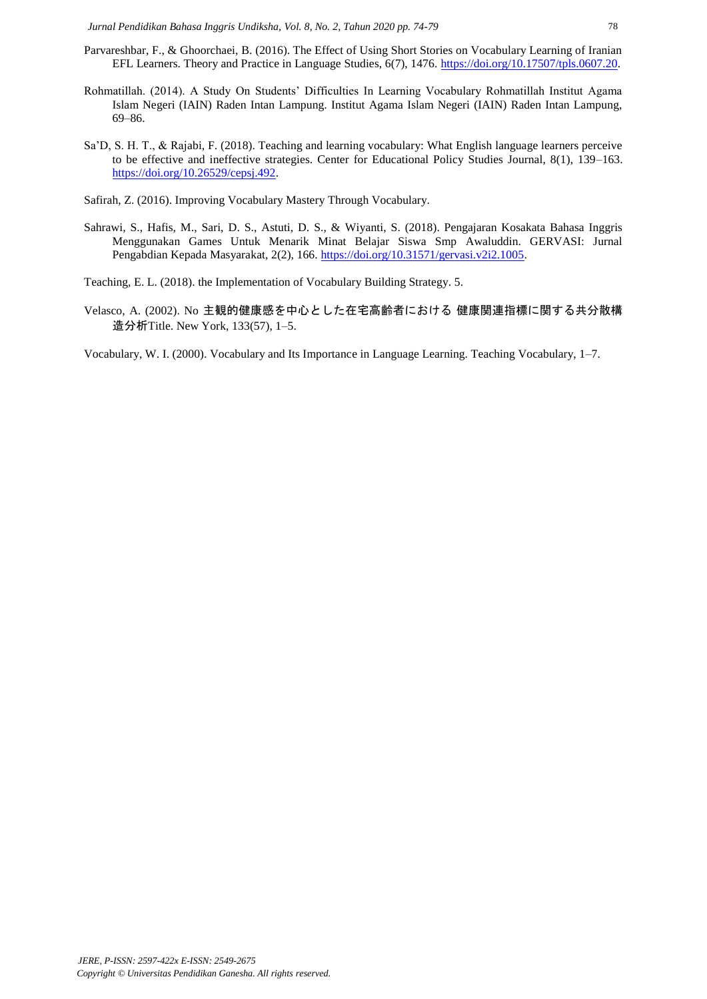- Parvareshbar, F., & Ghoorchaei, B. (2016). The Effect of Using Short Stories on Vocabulary Learning of Iranian EFL Learners. Theory and Practice in Language Studies, 6(7), 1476. [https://doi.org/10.17507/tpls.0607.20.](https://doi.org/10.17507/tpls.0607.20)
- Rohmatillah. (2014). A Study On Students' Difficulties In Learning Vocabulary Rohmatillah Institut Agama Islam Negeri (IAIN) Raden Intan Lampung. Institut Agama Islam Negeri (IAIN) Raden Intan Lampung, 69–86.
- Sa'D, S. H. T., & Rajabi, F. (2018). Teaching and learning vocabulary: What English language learners perceive to be effective and ineffective strategies. Center for Educational Policy Studies Journal, 8(1), 139–163. [https://doi.org/10.26529/cepsj.492.](https://doi.org/10.26529/cepsj.492)
- Safirah, Z. (2016). Improving Vocabulary Mastery Through Vocabulary.
- Sahrawi, S., Hafis, M., Sari, D. S., Astuti, D. S., & Wiyanti, S. (2018). Pengajaran Kosakata Bahasa Inggris Menggunakan Games Untuk Menarik Minat Belajar Siswa Smp Awaluddin. GERVASI: Jurnal Pengabdian Kepada Masyarakat, 2(2), 166. [https://doi.org/10.31571/gervasi.v2i2.1005.](https://doi.org/10.31571/gervasi.v2i2.1005)
- Teaching, E. L. (2018). the Implementation of Vocabulary Building Strategy. 5.
- Velasco, A. (2002). No 主観的健康感を中心とした在宅高齢者における 健康関連指標に関する共分散構 造分析Title. New York, 133(57), 1–5.
- Vocabulary, W. I. (2000). Vocabulary and Its Importance in Language Learning. Teaching Vocabulary, 1–7.